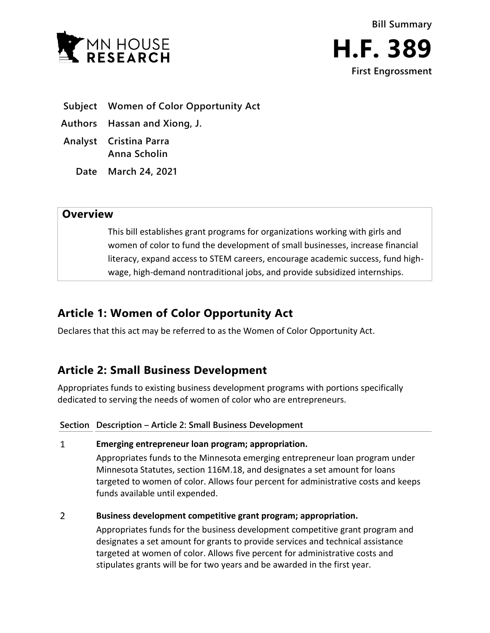



**Subject Women of Color Opportunity Act**

**Authors Hassan and Xiong, J.**

**Analyst Cristina Parra Anna Scholin**

**Date March 24, 2021**

## **Overview**

This bill establishes grant programs for organizations working with girls and women of color to fund the development of small businesses, increase financial literacy, expand access to STEM careers, encourage academic success, fund highwage, high-demand nontraditional jobs, and provide subsidized internships.

## **Article 1: Women of Color Opportunity Act**

Declares that this act may be referred to as the Women of Color Opportunity Act.

## **Article 2: Small Business Development**

funds available until expended.

Appropriates funds to existing business development programs with portions specifically dedicated to serving the needs of women of color who are entrepreneurs.

### **Section Description – Article 2: Small Business Development**  $\mathbf{1}$ **Emerging entrepreneur loan program; appropriation.** Appropriates funds to the Minnesota emerging entrepreneur loan program under Minnesota Statutes, section 116M.18, and designates a set amount for loans targeted to women of color. Allows four percent for administrative costs and keeps

 $\overline{2}$ **Business development competitive grant program; appropriation.**

> Appropriates funds for the business development competitive grant program and designates a set amount for grants to provide services and technical assistance targeted at women of color. Allows five percent for administrative costs and stipulates grants will be for two years and be awarded in the first year.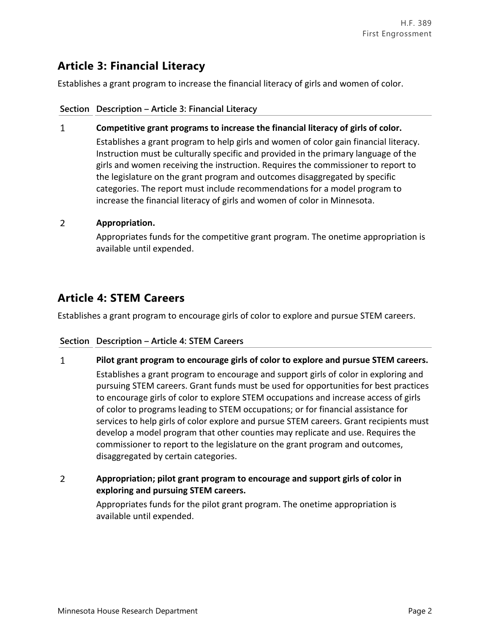# **Article 3: Financial Literacy**

Establishes a grant program to increase the financial literacy of girls and women of color.

### **Section Description – Article 3: Financial Literacy**

#### $\mathbf{1}$ **Competitive grant programs to increase the financial literacy of girls of color.**

Establishes a grant program to help girls and women of color gain financial literacy. Instruction must be culturally specific and provided in the primary language of the girls and women receiving the instruction. Requires the commissioner to report to the legislature on the grant program and outcomes disaggregated by specific categories. The report must include recommendations for a model program to increase the financial literacy of girls and women of color in Minnesota.

#### $\overline{2}$ **Appropriation.**

Appropriates funds for the competitive grant program. The onetime appropriation is available until expended.

## **Article 4: STEM Careers**

Establishes a grant program to encourage girls of color to explore and pursue STEM careers.

### **Section Description – Article 4: STEM Careers**

#### $\mathbf{1}$ **Pilot grant program to encourage girls of color to explore and pursue STEM careers.**

Establishes a grant program to encourage and support girls of color in exploring and pursuing STEM careers. Grant funds must be used for opportunities for best practices to encourage girls of color to explore STEM occupations and increase access of girls of color to programs leading to STEM occupations; or for financial assistance for services to help girls of color explore and pursue STEM careers. Grant recipients must develop a model program that other counties may replicate and use. Requires the commissioner to report to the legislature on the grant program and outcomes, disaggregated by certain categories.

### $\overline{2}$ **Appropriation; pilot grant program to encourage and support girls of color in exploring and pursuing STEM careers.**

Appropriates funds for the pilot grant program. The onetime appropriation is available until expended.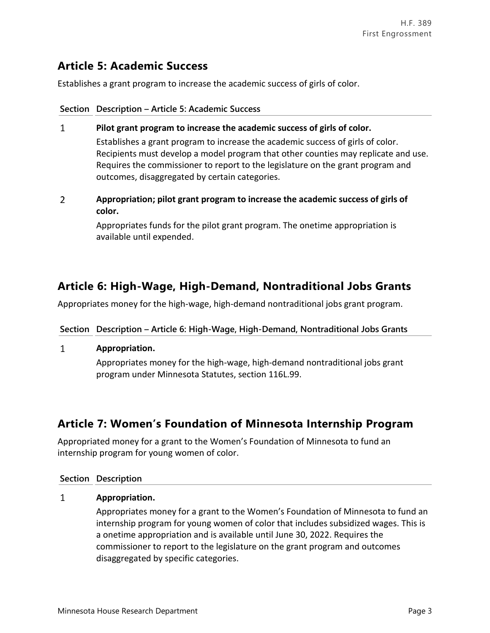# **Article 5: Academic Success**

Establishes a grant program to increase the academic success of girls of color.

### **Section Description – Article 5: Academic Success**

 $\mathbf{1}$ **Pilot grant program to increase the academic success of girls of color.**

> Establishes a grant program to increase the academic success of girls of color. Recipients must develop a model program that other counties may replicate and use. Requires the commissioner to report to the legislature on the grant program and outcomes, disaggregated by certain categories.

 $\overline{2}$ **Appropriation; pilot grant program to increase the academic success of girls of color.**

> Appropriates funds for the pilot grant program. The onetime appropriation is available until expended.

# **Article 6: High-Wage, High-Demand, Nontraditional Jobs Grants**

Appropriates money for the high-wage, high-demand nontraditional jobs grant program.

### **Section Description – Article 6: High-Wage, High-Demand, Nontraditional Jobs Grants**

 $\mathbf{1}$ **Appropriation.**

> Appropriates money for the high-wage, high-demand nontraditional jobs grant program under Minnesota Statutes, section 116L.99.

## **Article 7: Women's Foundation of Minnesota Internship Program**

Appropriated money for a grant to the Women's Foundation of Minnesota to fund an internship program for young women of color.

### **Section Description**

#### **Appropriation.**  $\mathbf{1}$

Appropriates money for a grant to the Women's Foundation of Minnesota to fund an internship program for young women of color that includes subsidized wages. This is a onetime appropriation and is available until June 30, 2022. Requires the commissioner to report to the legislature on the grant program and outcomes disaggregated by specific categories.